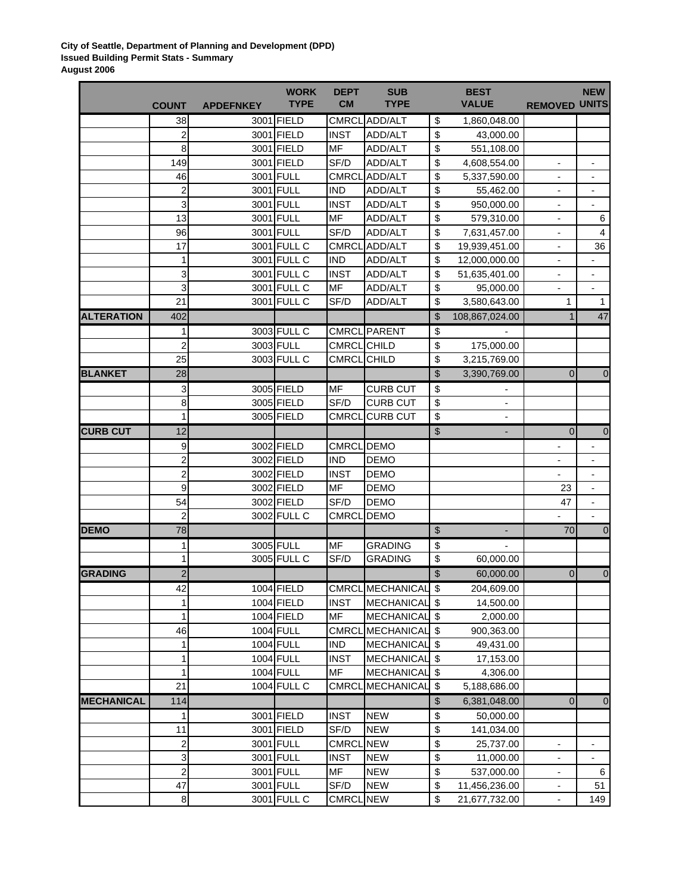## **City of Seattle, Department of Planning and Development (DPD) Issued Building Permit Stats - Summary August 2006**

|                   |                         |                  | <b>WORK</b> | <b>DEPT</b>        | <b>SUB</b>          | <b>BEST</b>                        |                              | <b>NEW</b>               |
|-------------------|-------------------------|------------------|-------------|--------------------|---------------------|------------------------------------|------------------------------|--------------------------|
|                   | <b>COUNT</b>            | <b>APDEFNKEY</b> | <b>TYPE</b> | <b>CM</b>          | <b>TYPE</b>         | <b>VALUE</b>                       | <b>REMOVED UNITS</b>         |                          |
|                   | 38                      |                  | 3001 FIELD  | <b>CMRCL</b>       | ADD/ALT             | \$<br>1,860,048.00                 |                              |                          |
|                   | 2                       |                  | 3001 FIELD  | <b>INST</b>        | ADD/ALT             | \$<br>43,000.00                    |                              |                          |
|                   | 8                       |                  | 3001 FIELD  | <b>MF</b>          | ADD/ALT             | \$<br>551,108.00                   |                              |                          |
|                   | 149                     |                  | 3001 FIELD  | SF/D               | ADD/ALT             | \$<br>4,608,554.00                 |                              |                          |
|                   | 46                      |                  | 3001 FULL   | <b>CMRCL</b>       | ADD/ALT             | \$<br>5,337,590.00                 |                              |                          |
|                   | $\overline{\mathbf{c}}$ |                  | 3001 FULL   | <b>IND</b>         | ADD/ALT             | \$<br>55,462.00                    | $\overline{\phantom{a}}$     | $\overline{\phantom{a}}$ |
|                   | 3                       |                  | 3001 FULL   | <b>INST</b>        | ADD/ALT             | \$<br>950,000.00                   | $\overline{\phantom{a}}$     |                          |
|                   | 13                      |                  | 3001 FULL   | MF                 | ADD/ALT             | \$<br>579,310.00                   |                              | 6                        |
|                   | 96                      |                  | 3001 FULL   | SF/D               | ADD/ALT             | \$<br>7,631,457.00                 | -                            | $\overline{\mathbf{4}}$  |
|                   | 17                      |                  | 3001 FULL C | <b>CMRCL</b>       | ADD/ALT             | \$<br>19,939,451.00                | $\overline{\phantom{a}}$     | 36                       |
|                   | 1                       |                  | 3001 FULL C | <b>IND</b>         | ADD/ALT             | \$<br>12,000,000.00                | $\qquad \qquad \blacksquare$ |                          |
|                   | 3                       |                  | 3001 FULL C | <b>INST</b>        | ADD/ALT             | \$<br>51,635,401.00                | $\overline{\phantom{a}}$     | $\overline{\phantom{a}}$ |
|                   | 3                       |                  | 3001 FULL C | <b>MF</b>          | ADD/ALT             | \$<br>95,000.00                    | $\overline{a}$               | $\overline{\phantom{a}}$ |
|                   | 21                      |                  | 3001 FULL C | SF/D               | ADD/ALT             | \$<br>3,580,643.00                 | 1                            | $\mathbf{1}$             |
| <b>ALTERATION</b> | 402                     |                  |             |                    |                     | \$<br>108,867,024.00               | $\mathbf{1}$                 | 47                       |
|                   | 1                       |                  | 3003 FULL C |                    | <b>CMRCL PARENT</b> | \$                                 |                              |                          |
|                   | $\overline{\mathbf{c}}$ |                  | 3003 FULL   | <b>CMRCL</b> CHILD |                     | \$<br>175,000.00                   |                              |                          |
|                   | 25                      |                  | 3003 FULL C | CMRCL CHILD        |                     | \$<br>3,215,769.00                 |                              |                          |
| <b>BLANKET</b>    | 28                      |                  |             |                    |                     | \$<br>3,390,769.00                 | $\overline{\mathbf{0}}$      | $\mathbf 0$              |
|                   | 3                       |                  | 3005 FIELD  | <b>MF</b>          | <b>CURB CUT</b>     | \$                                 |                              |                          |
|                   | 8                       |                  | 3005 FIELD  | SF/D               | <b>CURB CUT</b>     | \$<br>$\qquad \qquad \blacksquare$ |                              |                          |
|                   | 1                       |                  | 3005 FIELD  | <b>CMRCL</b>       | <b>CURB CUT</b>     | \$<br>$\blacksquare$               |                              |                          |
| <b>CURB CUT</b>   | 12                      |                  |             |                    |                     | \$<br>÷.                           | $\overline{0}$               | $\overline{0}$           |
|                   | $\boldsymbol{9}$        |                  | 3002 FIELD  | CMRCL DEMO         |                     |                                    |                              |                          |
|                   | $\overline{a}$          |                  | 3002 FIELD  | <b>IND</b>         | <b>DEMO</b>         |                                    |                              |                          |
|                   | $\overline{\mathbf{c}}$ |                  | 3002 FIELD  | <b>INST</b>        | <b>DEMO</b>         |                                    |                              |                          |
|                   | 9                       |                  | 3002 FIELD  | <b>MF</b>          | <b>DEMO</b>         |                                    | 23                           |                          |
|                   | 54                      |                  | 3002 FIELD  | SF/D               | <b>DEMO</b>         |                                    | 47                           | $\overline{\phantom{a}}$ |
|                   | $\overline{\mathbf{c}}$ |                  | 3002 FULL C | <b>CMRCL</b>       | <b>DEMO</b>         |                                    |                              | $\overline{a}$           |
| <b>DEMO</b>       | 78                      |                  |             |                    |                     | \$<br>٠                            | 70                           | 0                        |
|                   | 1                       |                  | 3005 FULL   | <b>MF</b>          | <b>GRADING</b>      | \$                                 |                              |                          |
|                   | 1                       |                  | 3005 FULL C | SF/D               | <b>GRADING</b>      | \$<br>60,000.00                    |                              |                          |
| <b>GRADING</b>    | $\overline{c}$          |                  |             |                    |                     | \$<br>60,000.00                    | $\overline{\mathbf{0}}$      | $\mathbf 0$              |
|                   |                         |                  |             |                    |                     |                                    |                              |                          |
|                   | 42                      |                  | 1004 FIELD  |                    | CMRCL MECHANICAL \$ | 204,609.00                         |                              |                          |
|                   | 1                       |                  | 1004 FIELD  | INST               | MECHANICAL \$       | 14,500.00                          |                              |                          |
|                   | 1                       |                  | 1004 FIELD  | MF                 | MECHANICAL \$       | 2,000.00                           |                              |                          |
|                   | 46                      |                  | 1004 FULL   | <b>CMRCL</b>       | MECHANICAL \$       | 900,363.00                         |                              |                          |
|                   | 1                       |                  | 1004 FULL   | <b>IND</b>         | MECHANICAL \$       | 49,431.00                          |                              |                          |
|                   | 1                       |                  | 1004 FULL   | <b>INST</b>        | MECHANICAL \$       | 17,153.00                          |                              |                          |
|                   | 1                       |                  | 1004 FULL   | MF                 | MECHANICAL \$       | 4,306.00                           |                              |                          |
|                   | 21                      |                  | 1004 FULL C | <b>CMRCL</b>       | MECHANICAL \$       | 5,188,686.00                       |                              |                          |
| <b>MECHANICAL</b> | 114                     |                  |             |                    |                     | \$<br>6,381,048.00                 | $\overline{0}$               | $\boldsymbol{0}$         |
|                   | 1                       |                  | 3001 FIELD  | <b>INST</b>        | <b>NEW</b>          | \$<br>50,000.00                    |                              |                          |
|                   | 11                      |                  | 3001 FIELD  | SF/D               | <b>NEW</b>          | \$<br>141,034.00                   |                              |                          |
|                   | 2                       |                  | 3001 FULL   | <b>CMRCL NEW</b>   |                     | \$<br>25,737.00                    | $\blacksquare$               |                          |
|                   | ω<br>$\overline{2}$     |                  | 3001 FULL   | <b>INST</b>        | <b>NEW</b>          | \$<br>11,000.00                    |                              |                          |
|                   |                         |                  | 3001 FULL   | <b>MF</b>          | <b>NEW</b>          | \$<br>537,000.00                   |                              | 6                        |
|                   | 47                      |                  | 3001 FULL   | SF/D               | <b>NEW</b>          | \$<br>11,456,236.00                |                              | 51                       |
|                   | $\bf 8$                 |                  | 3001 FULL C | CMRCL NEW          |                     | \$<br>21,677,732.00                | $\overline{\phantom{a}}$     | 149                      |